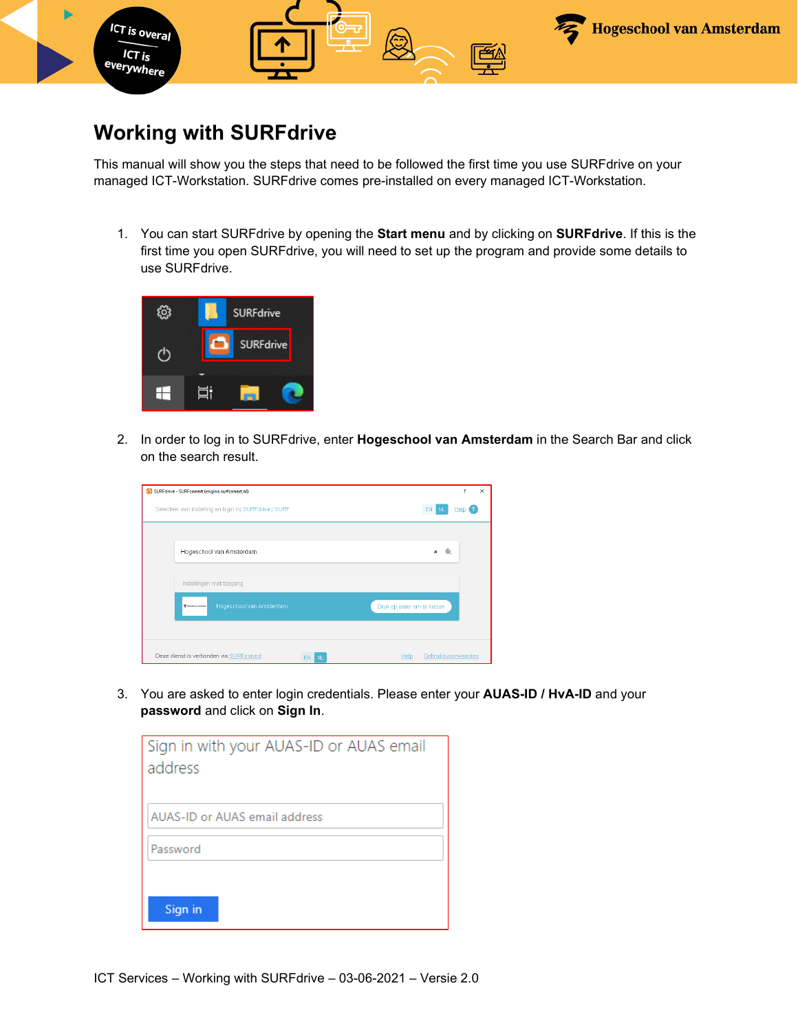

## **Working with SURFdrive**

This manual will show you the steps that need to be followed the first time you use SURFdrive on your managed ICT-Workstation. SURFdrive comes pre-installed on every managed ICT-Workstation.

1. You can start SURFdrive by opening the **Start menu** and by clicking on **SURFdrive**. If this is the first time you open SURFdrive, you will need to set up the program and provide some details to use SURFdrive.



2. In order to log in to SURFdrive, enter **Hogeschool van Amsterdam** in the Search Bar and click on the search result.

| SURFdrive - SURFconext (engine.surfconext.nl)               | 7<br>$\times$               |
|-------------------------------------------------------------|-----------------------------|
| Selecteer een instelling en login bij SURFdrive   SURF      | EN  <br><b>NL</b><br>Help   |
|                                                             |                             |
| Hogeschool van Amsterdam                                    | $\times$                    |
| Instellingen met toegang                                    |                             |
| Hogeschool van Amsterdam<br>T handed on installa            | Druk op enter om te kiezen  |
|                                                             |                             |
| Deze dienst is verbonden via SURFconext<br>EN.<br><b>NL</b> | Gebruiksvoorwaarden<br>Help |

3. You are asked to enter login credentials. Please enter your **AUAS-ID / HvA-ID** and your **password** and click on **Sign In**.